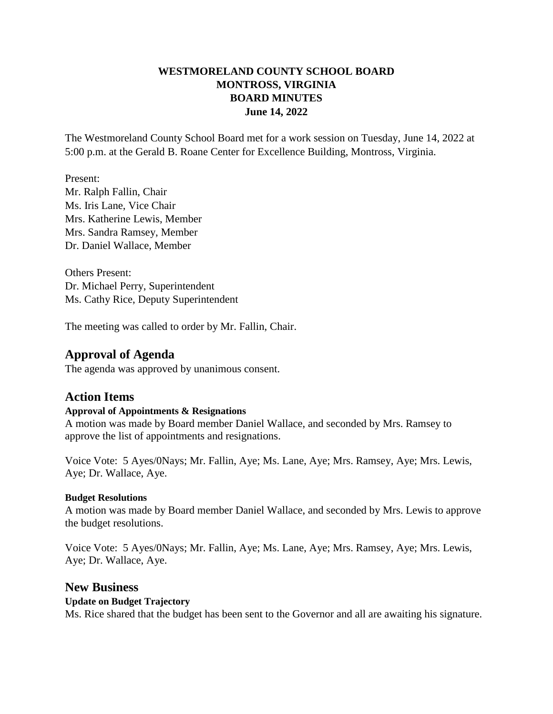# **WESTMORELAND COUNTY SCHOOL BOARD MONTROSS, VIRGINIA BOARD MINUTES June 14, 2022**

The Westmoreland County School Board met for a work session on Tuesday, June 14, 2022 at 5:00 p.m. at the Gerald B. Roane Center for Excellence Building, Montross, Virginia.

Present: Mr. Ralph Fallin, Chair Ms. Iris Lane, Vice Chair Mrs. Katherine Lewis, Member Mrs. Sandra Ramsey, Member Dr. Daniel Wallace, Member

Others Present: Dr. Michael Perry, Superintendent Ms. Cathy Rice, Deputy Superintendent

The meeting was called to order by Mr. Fallin, Chair.

# **Approval of Agenda**

The agenda was approved by unanimous consent.

# **Action Items**

#### **Approval of Appointments & Resignations**

A motion was made by Board member Daniel Wallace, and seconded by Mrs. Ramsey to approve the list of appointments and resignations.

Voice Vote: 5 Ayes/0Nays; Mr. Fallin, Aye; Ms. Lane, Aye; Mrs. Ramsey, Aye; Mrs. Lewis, Aye; Dr. Wallace, Aye.

#### **Budget Resolutions**

A motion was made by Board member Daniel Wallace, and seconded by Mrs. Lewis to approve the budget resolutions.

Voice Vote: 5 Ayes/0Nays; Mr. Fallin, Aye; Ms. Lane, Aye; Mrs. Ramsey, Aye; Mrs. Lewis, Aye; Dr. Wallace, Aye.

## **New Business**

## **Update on Budget Trajectory**

Ms. Rice shared that the budget has been sent to the Governor and all are awaiting his signature.